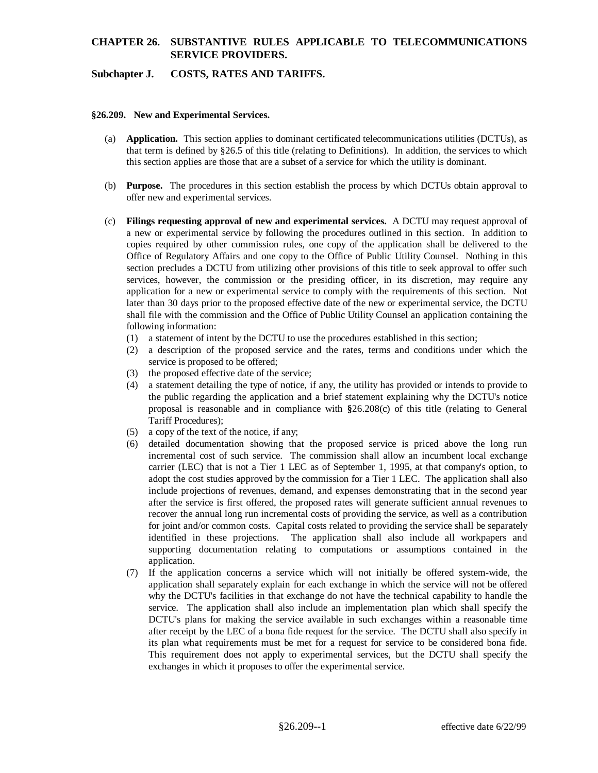### **CHAPTER 26. SUBSTANTIVE RULES APPLICABLE TO TELECOMMUNICATIONS SERVICE PROVIDERS.**

### **Subchapter J. COSTS, RATES AND TARIFFS.**

#### **§26.209. New and Experimental Services.**

- (a) **Application.** This section applies to dominant certificated telecommunications utilities (DCTUs), as that term is defined by §26.5 of this title (relating to Definitions). In addition, the services to which this section applies are those that are a subset of a service for which the utility is dominant.
- (b) **Purpose.** The procedures in this section establish the process by which DCTUs obtain approval to offer new and experimental services.
- (c) **Filings requesting approval of new and experimental services.** A DCTU may request approval of a new or experimental service by following the procedures outlined in this section. In addition to copies required by other commission rules, one copy of the application shall be delivered to the Office of Regulatory Affairs and one copy to the Office of Public Utility Counsel. Nothing in this section precludes a DCTU from utilizing other provisions of this title to seek approval to offer such services, however, the commission or the presiding officer, in its discretion, may require any application for a new or experimental service to comply with the requirements of this section. Not later than 30 days prior to the proposed effective date of the new or experimental service, the DCTU shall file with the commission and the Office of Public Utility Counsel an application containing the following information:
	- (1) a statement of intent by the DCTU to use the procedures established in this section;
	- (2) a description of the proposed service and the rates, terms and conditions under which the service is proposed to be offered;
	- (3) the proposed effective date of the service;
	- (4) a statement detailing the type of notice, if any, the utility has provided or intends to provide to the public regarding the application and a brief statement explaining why the DCTU's notice proposal is reasonable and in compliance with **§**26.208(c) of this title (relating to General Tariff Procedures);
	- (5) a copy of the text of the notice, if any;
	- (6) detailed documentation showing that the proposed service is priced above the long run incremental cost of such service. The commission shall allow an incumbent local exchange carrier (LEC) that is not a Tier 1 LEC as of September 1, 1995, at that company's option, to adopt the cost studies approved by the commission for a Tier 1 LEC. The application shall also include projections of revenues, demand, and expenses demonstrating that in the second year after the service is first offered, the proposed rates will generate sufficient annual revenues to recover the annual long run incremental costs of providing the service, as well as a contribution for joint and/or common costs. Capital costs related to providing the service shall be separately identified in these projections. The application shall also include all workpapers and supporting documentation relating to computations or assumptions contained in the application.
	- (7) If the application concerns a service which will not initially be offered system-wide, the application shall separately explain for each exchange in which the service will not be offered why the DCTU's facilities in that exchange do not have the technical capability to handle the service. The application shall also include an implementation plan which shall specify the DCTU's plans for making the service available in such exchanges within a reasonable time after receipt by the LEC of a bona fide request for the service. The DCTU shall also specify in its plan what requirements must be met for a request for service to be considered bona fide. This requirement does not apply to experimental services, but the DCTU shall specify the exchanges in which it proposes to offer the experimental service.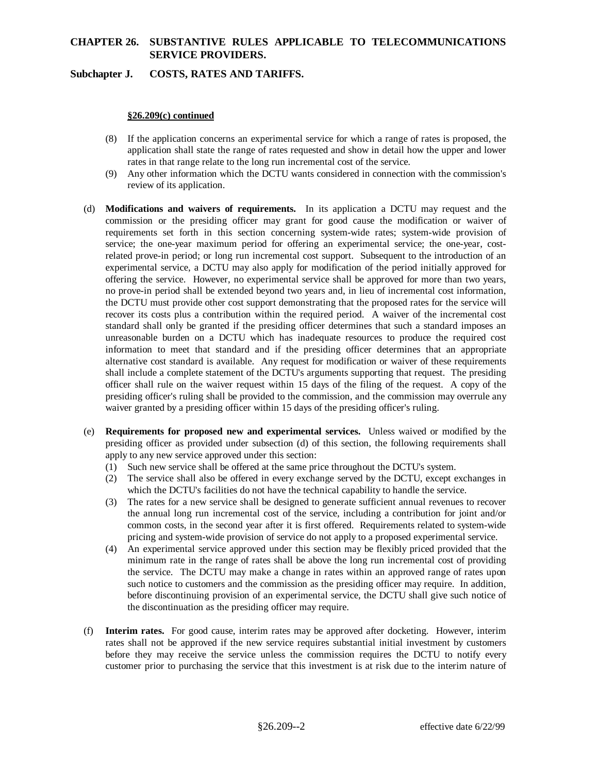# **CHAPTER 26. SUBSTANTIVE RULES APPLICABLE TO TELECOMMUNICATIONS SERVICE PROVIDERS.**

### **Subchapter J. COSTS, RATES AND TARIFFS.**

### **§26.209(c) continued**

- (8) If the application concerns an experimental service for which a range of rates is proposed, the application shall state the range of rates requested and show in detail how the upper and lower rates in that range relate to the long run incremental cost of the service.
- (9) Any other information which the DCTU wants considered in connection with the commission's review of its application.
- (d) **Modifications and waivers of requirements.** In its application a DCTU may request and the commission or the presiding officer may grant for good cause the modification or waiver of requirements set forth in this section concerning system-wide rates; system-wide provision of service; the one-year maximum period for offering an experimental service; the one-year, costrelated prove-in period; or long run incremental cost support. Subsequent to the introduction of an experimental service, a DCTU may also apply for modification of the period initially approved for offering the service. However, no experimental service shall be approved for more than two years, no prove-in period shall be extended beyond two years and, in lieu of incremental cost information, the DCTU must provide other cost support demonstrating that the proposed rates for the service will recover its costs plus a contribution within the required period. A waiver of the incremental cost standard shall only be granted if the presiding officer determines that such a standard imposes an unreasonable burden on a DCTU which has inadequate resources to produce the required cost information to meet that standard and if the presiding officer determines that an appropriate alternative cost standard is available. Any request for modification or waiver of these requirements shall include a complete statement of the DCTU's arguments supporting that request. The presiding officer shall rule on the waiver request within 15 days of the filing of the request. A copy of the presiding officer's ruling shall be provided to the commission, and the commission may overrule any waiver granted by a presiding officer within 15 days of the presiding officer's ruling.
- (e) **Requirements for proposed new and experimental services.** Unless waived or modified by the presiding officer as provided under subsection (d) of this section, the following requirements shall apply to any new service approved under this section:
	- (1) Such new service shall be offered at the same price throughout the DCTU's system.
	- (2) The service shall also be offered in every exchange served by the DCTU, except exchanges in which the DCTU's facilities do not have the technical capability to handle the service.
	- (3) The rates for a new service shall be designed to generate sufficient annual revenues to recover the annual long run incremental cost of the service, including a contribution for joint and/or common costs, in the second year after it is first offered. Requirements related to system-wide pricing and system-wide provision of service do not apply to a proposed experimental service.
	- (4) An experimental service approved under this section may be flexibly priced provided that the minimum rate in the range of rates shall be above the long run incremental cost of providing the service. The DCTU may make a change in rates within an approved range of rates upon such notice to customers and the commission as the presiding officer may require. In addition, before discontinuing provision of an experimental service, the DCTU shall give such notice of the discontinuation as the presiding officer may require.
- (f) **Interim rates.** For good cause, interim rates may be approved after docketing. However, interim rates shall not be approved if the new service requires substantial initial investment by customers before they may receive the service unless the commission requires the DCTU to notify every customer prior to purchasing the service that this investment is at risk due to the interim nature of